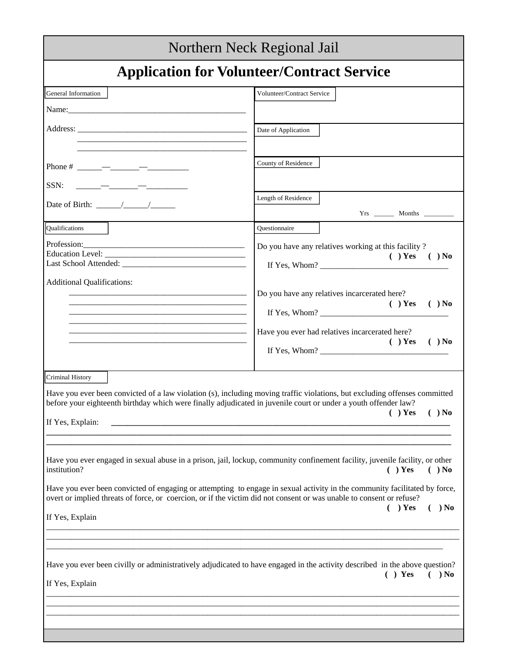|                                                                                                                                                                                                                                                                                              | Northern Neck Regional Jail                                                                                                                                                                                                                                                                                                                                                                   |  |  |  |
|----------------------------------------------------------------------------------------------------------------------------------------------------------------------------------------------------------------------------------------------------------------------------------------------|-----------------------------------------------------------------------------------------------------------------------------------------------------------------------------------------------------------------------------------------------------------------------------------------------------------------------------------------------------------------------------------------------|--|--|--|
| <b>Application for Volunteer/Contract Service</b>                                                                                                                                                                                                                                            |                                                                                                                                                                                                                                                                                                                                                                                               |  |  |  |
| General Information                                                                                                                                                                                                                                                                          | Volunteer/Contract Service                                                                                                                                                                                                                                                                                                                                                                    |  |  |  |
|                                                                                                                                                                                                                                                                                              | Date of Application                                                                                                                                                                                                                                                                                                                                                                           |  |  |  |
| <u> 1980 - Johann Barbara, martxa alemaniar amerikan basar da da a shekara a shekara a shekara a shekara a shekar</u>                                                                                                                                                                        |                                                                                                                                                                                                                                                                                                                                                                                               |  |  |  |
|                                                                                                                                                                                                                                                                                              | County of Residence                                                                                                                                                                                                                                                                                                                                                                           |  |  |  |
| SSN:                                                                                                                                                                                                                                                                                         | Length of Residence                                                                                                                                                                                                                                                                                                                                                                           |  |  |  |
| Date of Birth: $\frac{\sqrt{2}}{2}$                                                                                                                                                                                                                                                          |                                                                                                                                                                                                                                                                                                                                                                                               |  |  |  |
| Qualifications                                                                                                                                                                                                                                                                               | Questionnaire                                                                                                                                                                                                                                                                                                                                                                                 |  |  |  |
|                                                                                                                                                                                                                                                                                              | Do you have any relatives working at this facility?<br>$( )$ Yes $( )$ No                                                                                                                                                                                                                                                                                                                     |  |  |  |
| Additional Qualifications:                                                                                                                                                                                                                                                                   | Do you have any relatives incarcerated here?<br>$( )$ Yes<br>$( )$ No<br>If Yes, Whom? $\qquad \qquad$                                                                                                                                                                                                                                                                                        |  |  |  |
| <u> 1989 - Johann Stoff, deutscher Stoff, der Stoff, der Stoff, der Stoff, der Stoff, der Stoff, der Stoff, der S</u>                                                                                                                                                                        | Have you ever had relatives incarcerated here?<br>$( )$ No<br>$( )$ Yes<br>If Yes, Whom? $\frac{1}{2}$ $\frac{1}{2}$ $\frac{1}{2}$ $\frac{1}{2}$ $\frac{1}{2}$ $\frac{1}{2}$ $\frac{1}{2}$ $\frac{1}{2}$ $\frac{1}{2}$ $\frac{1}{2}$ $\frac{1}{2}$ $\frac{1}{2}$ $\frac{1}{2}$ $\frac{1}{2}$ $\frac{1}{2}$ $\frac{1}{2}$ $\frac{1}{2}$ $\frac{1}{2}$ $\frac{1}{2}$ $\frac{1}{2}$ $\frac{1}{2$ |  |  |  |
| <b>Criminal History</b><br>Have you ever been convicted of a law violation (s), including moving traffic violations, but excluding offenses committed<br>before your eighteenth birthday which were finally adjudicated in juvenile court or under a youth offender law?<br>If Yes, Explain: | $( )$ Yes<br>$( )$ No                                                                                                                                                                                                                                                                                                                                                                         |  |  |  |
| Have you ever engaged in sexual abuse in a prison, jail, lockup, community confinement facility, juvenile facility, or other<br>institution?                                                                                                                                                 | $( )$ No<br>$( )$ Yes                                                                                                                                                                                                                                                                                                                                                                         |  |  |  |
| Have you ever been convicted of engaging or attempting to engage in sexual activity in the community facilitated by force,<br>overt or implied threats of force, or coercion, or if the victim did not consent or was unable to consent or refuse?                                           | $( )$ Yes<br>$( )$ No                                                                                                                                                                                                                                                                                                                                                                         |  |  |  |
| If Yes, Explain                                                                                                                                                                                                                                                                              |                                                                                                                                                                                                                                                                                                                                                                                               |  |  |  |
|                                                                                                                                                                                                                                                                                              |                                                                                                                                                                                                                                                                                                                                                                                               |  |  |  |
| Have you ever been civilly or administratively adjudicated to have engaged in the activity described in the above question?<br>If Yes, Explain                                                                                                                                               | $( )$ Yes<br>$( )$ No                                                                                                                                                                                                                                                                                                                                                                         |  |  |  |
|                                                                                                                                                                                                                                                                                              |                                                                                                                                                                                                                                                                                                                                                                                               |  |  |  |
|                                                                                                                                                                                                                                                                                              |                                                                                                                                                                                                                                                                                                                                                                                               |  |  |  |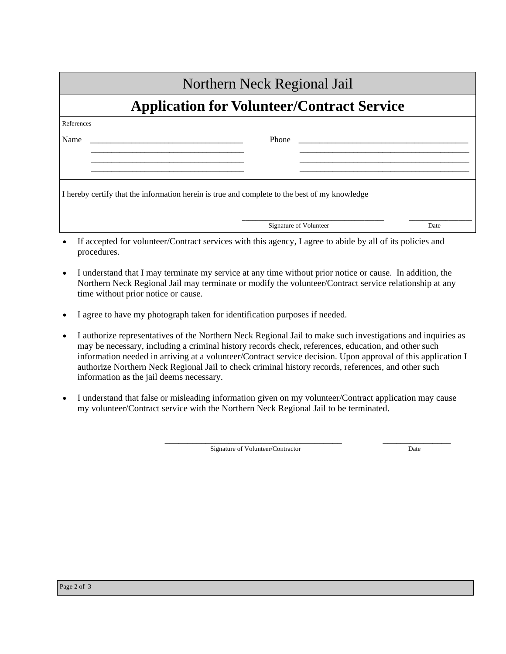| Northern Neck Regional Jail                       |                                                                                               |      |  |  |
|---------------------------------------------------|-----------------------------------------------------------------------------------------------|------|--|--|
| <b>Application for Volunteer/Contract Service</b> |                                                                                               |      |  |  |
| References                                        |                                                                                               |      |  |  |
| Name                                              | Phone                                                                                         |      |  |  |
|                                                   |                                                                                               |      |  |  |
|                                                   |                                                                                               |      |  |  |
|                                                   | I hereby certify that the information herein is true and complete to the best of my knowledge |      |  |  |
|                                                   | Signature of Volunteer                                                                        | Date |  |  |

- If accepted for volunteer/Contract services with this agency, I agree to abide by all of its policies and procedures.
- I understand that I may terminate my service at any time without prior notice or cause. In addition, the Northern Neck Regional Jail may terminate or modify the volunteer/Contract service relationship at any time without prior notice or cause.
- I agree to have my photograph taken for identification purposes if needed.
- I authorize representatives of the Northern Neck Regional Jail to make such investigations and inquiries as may be necessary, including a criminal history records check, references, education, and other such information needed in arriving at a volunteer/Contract service decision. Upon approval of this application I authorize Northern Neck Regional Jail to check criminal history records, references, and other such information as the jail deems necessary.
- I understand that false or misleading information given on my volunteer/Contract application may cause my volunteer/Contract service with the Northern Neck Regional Jail to be terminated.

 $\overline{\phantom{a}}$  ,  $\overline{\phantom{a}}$  ,  $\overline{\phantom{a}}$  ,  $\overline{\phantom{a}}$  ,  $\overline{\phantom{a}}$  ,  $\overline{\phantom{a}}$  ,  $\overline{\phantom{a}}$  ,  $\overline{\phantom{a}}$  ,  $\overline{\phantom{a}}$  ,  $\overline{\phantom{a}}$  ,  $\overline{\phantom{a}}$  ,  $\overline{\phantom{a}}$  ,  $\overline{\phantom{a}}$  ,  $\overline{\phantom{a}}$  ,  $\overline{\phantom{a}}$  ,  $\overline{\phantom{a}}$ Signature of Volunteer/Contractor Date